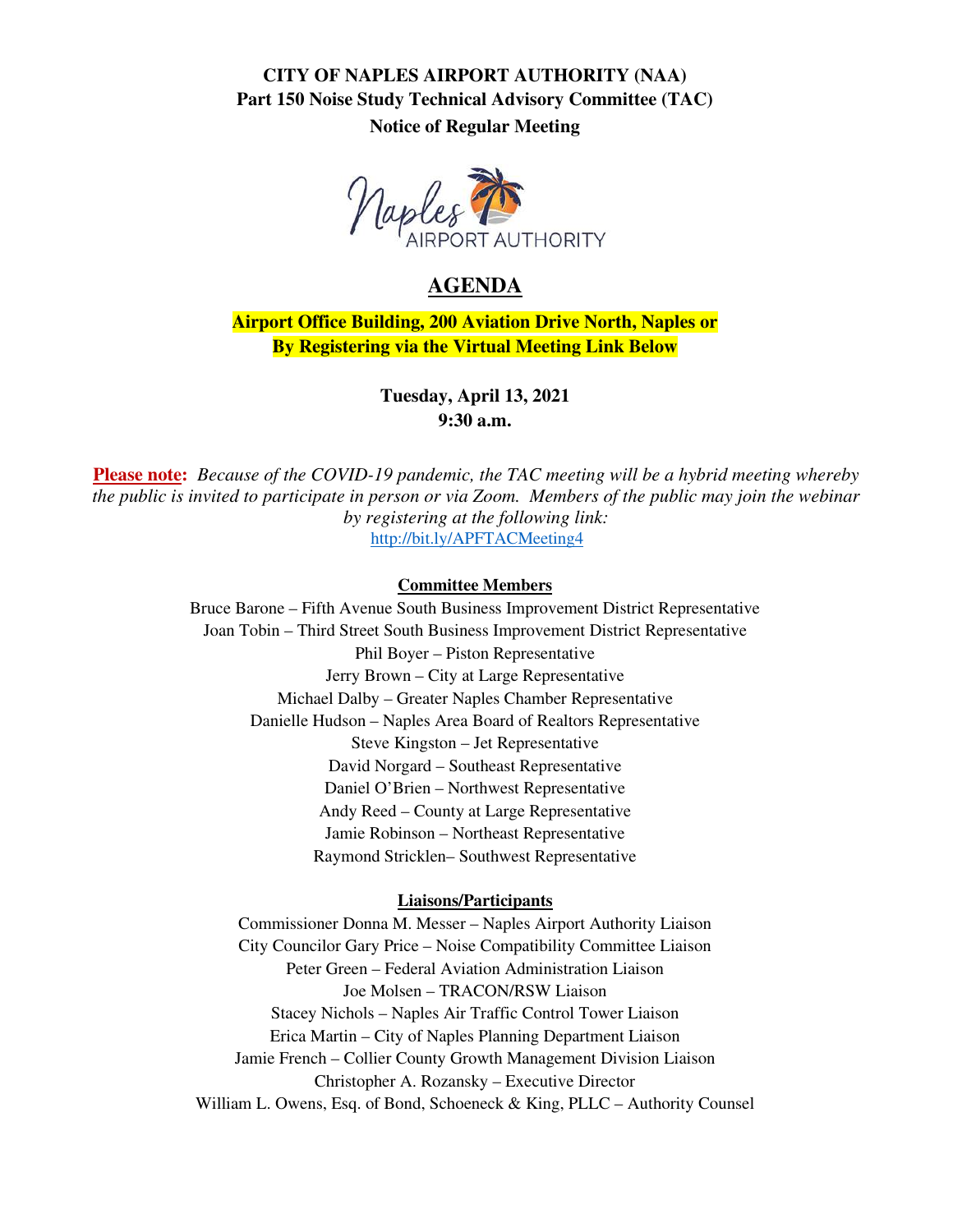### **CITY OF NAPLES AIRPORT AUTHORITY (NAA) Part 150 Noise Study Technical Advisory Committee (TAC) Notice of Regular Meeting**



# **AGENDA**

**Airport Office Building, 200 Aviation Drive North, Naples or By Registering via the Virtual Meeting Link Below**

> **Tuesday, April 13, 2021 9:30 a.m.**

**Please note:** *Because of the COVID-19 pandemic, the TAC meeting will be a hybrid meeting whereby the public is invited to participate in person or via Zoom. Members of the public may join the webinar by registering at the following link:*  <http://bit.ly/APFTACMeeting4>

### **Committee Members**

Bruce Barone – Fifth Avenue South Business Improvement District Representative Joan Tobin – Third Street South Business Improvement District Representative Phil Boyer – Piston Representative Jerry Brown – City at Large Representative Michael Dalby – Greater Naples Chamber Representative Danielle Hudson – Naples Area Board of Realtors Representative Steve Kingston – Jet Representative David Norgard – Southeast Representative Daniel O'Brien – Northwest Representative Andy Reed – County at Large Representative Jamie Robinson – Northeast Representative Raymond Stricklen– Southwest Representative

### **Liaisons/Participants**

Commissioner Donna M. Messer – Naples Airport Authority Liaison City Councilor Gary Price – Noise Compatibility Committee Liaison Peter Green – Federal Aviation Administration Liaison Joe Molsen – TRACON/RSW Liaison Stacey Nichols – Naples Air Traffic Control Tower Liaison Erica Martin – City of Naples Planning Department Liaison Jamie French – Collier County Growth Management Division Liaison Christopher A. Rozansky – Executive Director William L. Owens, Esq. of Bond, Schoeneck & King, PLLC – Authority Counsel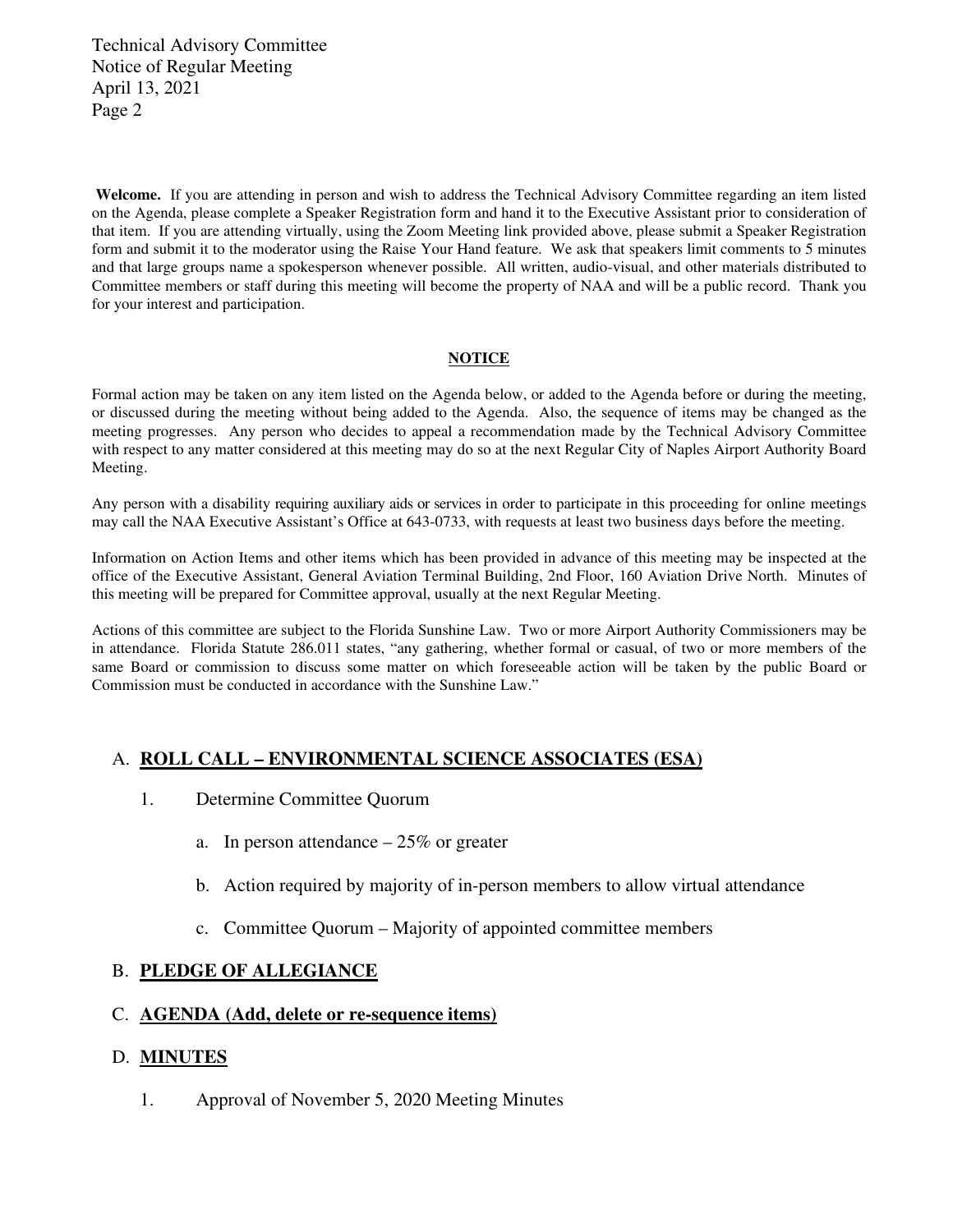Technical Advisory Committee Notice of Regular Meeting April 13, 2021 Page 2

Welcome. If you are attending in person and wish to address the Technical Advisory Committee regarding an item listed on the Agenda, please complete a Speaker Registration form and hand it to the Executive Assistant prior to consideration of that item. If you are attending virtually, using the Zoom Meeting link provided above, please submit a Speaker Registration form and submit it to the moderator using the Raise Your Hand feature. We ask that speakers limit comments to 5 minutes and that large groups name a spokesperson whenever possible. All written, audio-visual, and other materials distributed to Committee members or staff during this meeting will become the property of NAA and will be a public record. Thank you for your interest and participation.

#### **NOTICE**

Formal action may be taken on any item listed on the Agenda below, or added to the Agenda before or during the meeting, or discussed during the meeting without being added to the Agenda. Also, the sequence of items may be changed as the meeting progresses. Any person who decides to appeal a recommendation made by the Technical Advisory Committee with respect to any matter considered at this meeting may do so at the next Regular City of Naples Airport Authority Board Meeting.

Any person with a disability requiring auxiliary aids or services in order to participate in this proceeding for online meetings may call the NAA Executive Assistant's Office at 643-0733, with requests at least two business days before the meeting.

Information on Action Items and other items which has been provided in advance of this meeting may be inspected at the office of the Executive Assistant, General Aviation Terminal Building, 2nd Floor, 160 Aviation Drive North. Minutes of this meeting will be prepared for Committee approval, usually at the next Regular Meeting.

Actions of this committee are subject to the Florida Sunshine Law. Two or more Airport Authority Commissioners may be in attendance. Florida Statute 286.011 states, "any gathering, whether formal or casual, of two or more members of the same Board or commission to discuss some matter on which foreseeable action will be taken by the public Board or Commission must be conducted in accordance with the Sunshine Law."

### A. **ROLL CALL – ENVIRONMENTAL SCIENCE ASSOCIATES (ESA)**

- 1. Determine Committee Quorum
	- a. In person attendance  $-25\%$  or greater
	- b. Action required by majority of in-person members to allow virtual attendance
	- c. Committee Quorum Majority of appointed committee members

### B. **PLEDGE OF ALLEGIANCE**

### C. **AGENDA (Add, delete or re-sequence items)**

### D. **MINUTES**

1. Approval of November 5, 2020 Meeting Minutes